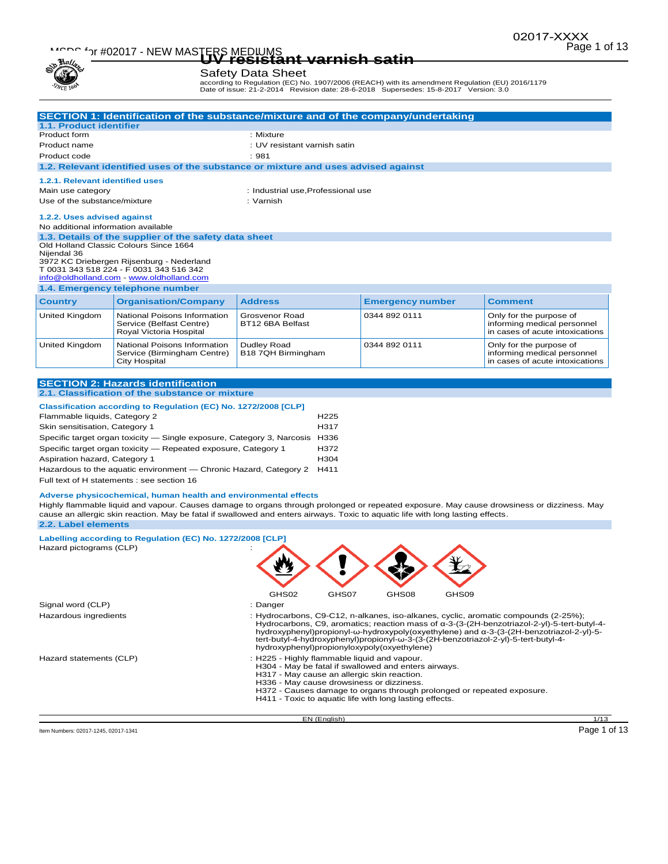# Page 1 of 13 MSDS for #02017 - NEW MASTERS MEDIUMS **UV resistant varnish satin**

### Safety Data Sheet

according to Regulation (EC) No. 1907/2006 (REACH) with its amendment Regulation (EU) 2016/1179 Date of issue: 21-2-2014 Revision date: 28-6-2018 Supersedes: 15-8-2017 Version: 3.0

| 1.1. Product identifier<br>Product form                                                                                 |                                                                                                                                                                                                                                                                                                                                                                                                                                                                        |                                                                                                                                                                                                                                                    | SECTION 1: Identification of the substance/mixture and of the company/undertaking                                              |                                                                                                                                                                                                                                                                      |  |
|-------------------------------------------------------------------------------------------------------------------------|------------------------------------------------------------------------------------------------------------------------------------------------------------------------------------------------------------------------------------------------------------------------------------------------------------------------------------------------------------------------------------------------------------------------------------------------------------------------|----------------------------------------------------------------------------------------------------------------------------------------------------------------------------------------------------------------------------------------------------|--------------------------------------------------------------------------------------------------------------------------------|----------------------------------------------------------------------------------------------------------------------------------------------------------------------------------------------------------------------------------------------------------------------|--|
|                                                                                                                         |                                                                                                                                                                                                                                                                                                                                                                                                                                                                        | : Mixture                                                                                                                                                                                                                                          |                                                                                                                                |                                                                                                                                                                                                                                                                      |  |
| Product name                                                                                                            |                                                                                                                                                                                                                                                                                                                                                                                                                                                                        | : UV resistant varnish satin                                                                                                                                                                                                                       |                                                                                                                                |                                                                                                                                                                                                                                                                      |  |
| Product code<br>: 981                                                                                                   |                                                                                                                                                                                                                                                                                                                                                                                                                                                                        |                                                                                                                                                                                                                                                    |                                                                                                                                |                                                                                                                                                                                                                                                                      |  |
|                                                                                                                         | 1.2. Relevant identified uses of the substance or mixture and uses advised against                                                                                                                                                                                                                                                                                                                                                                                     |                                                                                                                                                                                                                                                    |                                                                                                                                |                                                                                                                                                                                                                                                                      |  |
| 1.2.1. Relevant identified uses                                                                                         |                                                                                                                                                                                                                                                                                                                                                                                                                                                                        |                                                                                                                                                                                                                                                    |                                                                                                                                |                                                                                                                                                                                                                                                                      |  |
| Main use category                                                                                                       |                                                                                                                                                                                                                                                                                                                                                                                                                                                                        | : Industrial use, Professional use                                                                                                                                                                                                                 |                                                                                                                                |                                                                                                                                                                                                                                                                      |  |
| Use of the substance/mixture<br>: Varnish                                                                               |                                                                                                                                                                                                                                                                                                                                                                                                                                                                        |                                                                                                                                                                                                                                                    |                                                                                                                                |                                                                                                                                                                                                                                                                      |  |
|                                                                                                                         |                                                                                                                                                                                                                                                                                                                                                                                                                                                                        |                                                                                                                                                                                                                                                    |                                                                                                                                |                                                                                                                                                                                                                                                                      |  |
| 1.2.2. Uses advised against<br>No additional information available                                                      |                                                                                                                                                                                                                                                                                                                                                                                                                                                                        |                                                                                                                                                                                                                                                    |                                                                                                                                |                                                                                                                                                                                                                                                                      |  |
| Nijendal 36                                                                                                             | 1.3. Details of the supplier of the safety data sheet<br>Old Holland Classic Colours Since 1664<br>3972 KC Driebergen Rijsenburg - Nederland<br>T 0031 343 518 224 - F 0031 343 516 342<br>info@oldholland.com - www.oldholland.com                                                                                                                                                                                                                                    |                                                                                                                                                                                                                                                    |                                                                                                                                |                                                                                                                                                                                                                                                                      |  |
|                                                                                                                         | 1.4. Emergency telephone number                                                                                                                                                                                                                                                                                                                                                                                                                                        |                                                                                                                                                                                                                                                    |                                                                                                                                |                                                                                                                                                                                                                                                                      |  |
| <b>Country</b>                                                                                                          | <b>Organisation/Company</b>                                                                                                                                                                                                                                                                                                                                                                                                                                            | <b>Address</b>                                                                                                                                                                                                                                     | <b>Emergency number</b>                                                                                                        | <b>Comment</b>                                                                                                                                                                                                                                                       |  |
| <b>United Kingdom</b>                                                                                                   | National Poisons Information<br>Service (Belfast Centre)<br>Royal Victoria Hospital                                                                                                                                                                                                                                                                                                                                                                                    | Grosvenor Road<br>BT12 6BA Belfast                                                                                                                                                                                                                 | 0344 892 0111                                                                                                                  | Only for the purpose of<br>informing medical personnel<br>in cases of acute intoxications                                                                                                                                                                            |  |
| United Kingdom                                                                                                          | National Poisons Information<br>Service (Birmingham Centre)<br><b>City Hospital</b>                                                                                                                                                                                                                                                                                                                                                                                    | Dudley Road<br>B18 7QH Birmingham                                                                                                                                                                                                                  | 0344 892 0111                                                                                                                  | Only for the purpose of<br>informing medical personnel<br>in cases of acute intoxications                                                                                                                                                                            |  |
| Skin sensitisation, Category 1<br>Aspiration hazard, Category 1                                                         | Specific target organ toxicity - Single exposure, Category 3, Narcosis H336<br>Specific target organ toxicity - Repeated exposure, Category 1<br>Hazardous to the aquatic environment — Chronic Hazard, Category 2<br>Full text of H statements : see section 16<br>Adverse physicochemical, human health and environmental effects<br>cause an allergic skin reaction. May be fatal if swallowed and enters airways. Toxic to aquatic life with long lasting effects. | H317<br>H372<br>H <sub>304</sub><br>H411                                                                                                                                                                                                           |                                                                                                                                | Highly flammable liquid and vapour. Causes damage to organs through prolonged or repeated exposure. May cause drowsiness or dizziness. May                                                                                                                           |  |
|                                                                                                                         |                                                                                                                                                                                                                                                                                                                                                                                                                                                                        |                                                                                                                                                                                                                                                    |                                                                                                                                |                                                                                                                                                                                                                                                                      |  |
|                                                                                                                         |                                                                                                                                                                                                                                                                                                                                                                                                                                                                        |                                                                                                                                                                                                                                                    |                                                                                                                                |                                                                                                                                                                                                                                                                      |  |
|                                                                                                                         | Labelling according to Regulation (EC) No. 1272/2008 [CLP]                                                                                                                                                                                                                                                                                                                                                                                                             |                                                                                                                                                                                                                                                    |                                                                                                                                |                                                                                                                                                                                                                                                                      |  |
|                                                                                                                         |                                                                                                                                                                                                                                                                                                                                                                                                                                                                        | GHS02<br>GHS07                                                                                                                                                                                                                                     | GHS08<br>GHS09                                                                                                                 |                                                                                                                                                                                                                                                                      |  |
|                                                                                                                         |                                                                                                                                                                                                                                                                                                                                                                                                                                                                        | : Danger                                                                                                                                                                                                                                           |                                                                                                                                | : Hydrocarbons, C9-C12, n-alkanes, iso-alkanes, cyclic, aromatic compounds (2-25%);<br>hydroxyphenyl)propionyl-ω-hydroxypoly(oxyethylene) and α-3-(3-(2H-benzotriazol-2-yl)-5-<br>tert-butyl-4-hydroxyphenyl)propionyl-ω-3-(3-(2H-benzotriazol-2-yl)-5-tert-butyl-4- |  |
| 2.2. Label elements<br>Hazard pictograms (CLP)<br>Signal word (CLP)<br>Hazardous ingredients<br>Hazard statements (CLP) |                                                                                                                                                                                                                                                                                                                                                                                                                                                                        | hydroxyphenyl)propionyloxypoly(oxyethylene)<br>: H225 - Highly flammable liquid and vapour.<br>H317 - May cause an allergic skin reaction.<br>H336 - May cause drowsiness or dizziness.<br>H411 - Toxic to aquatic life with long lasting effects. | H304 - May be fatal if swallowed and enters airways.<br>H372 - Causes damage to organs through prolonged or repeated exposure. | Hydrocarbons, C9, aromatics; reaction mass of $\alpha$ -3-(3-(2H-benzotriazol-2-yl)-5-tert-butyl-4-                                                                                                                                                                  |  |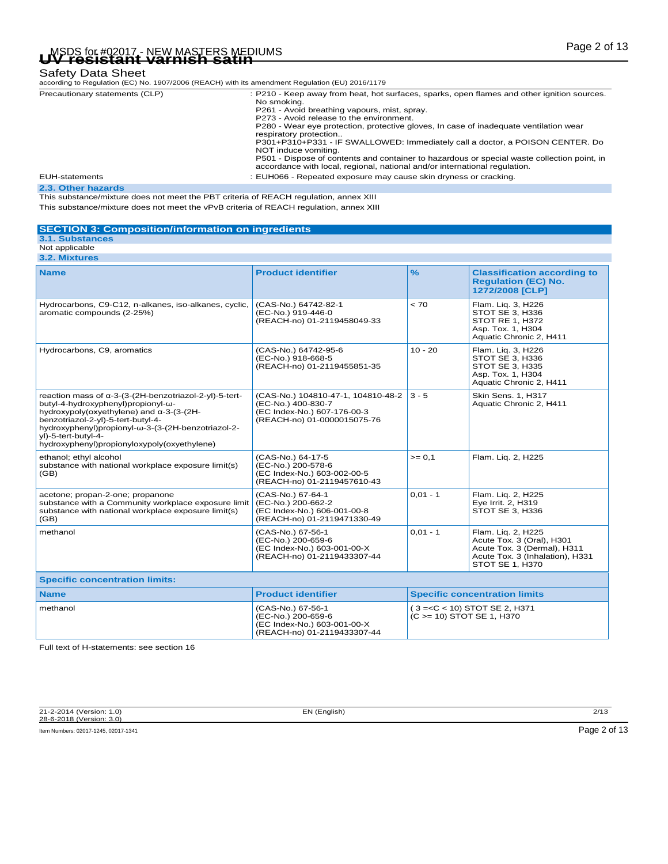# Page 2 of 13 MSDS for #02017 - NEW MASTERS MEDIUMS **UV resistant varnish satin**

### Safety Data Sheet

|  | according to Regulation (EC) No. 1907/2006 (REACH) with its amendment Regulation (EU) 2016/1179 |
|--|-------------------------------------------------------------------------------------------------|

| Precautionary statements (CLP) | : P210 - Keep away from heat, hot surfaces, sparks, open flames and other ignition sources.<br>No smoking.<br>P261 - Avoid breathing vapours, mist, spray.<br>P273 - Avoid release to the environment.<br>P280 - Wear eye protection, protective gloves, In case of inadequate ventilation wear<br>respiratory protection<br>P301+P310+P331 - IF SWALLOWED: Immediately call a doctor, a POISON CENTER. Do<br>NOT induce vomiting.<br>P501 - Dispose of contents and container to hazardous or special waste collection point, in<br>accordance with local, regional, national and/or international regulation. |
|--------------------------------|-----------------------------------------------------------------------------------------------------------------------------------------------------------------------------------------------------------------------------------------------------------------------------------------------------------------------------------------------------------------------------------------------------------------------------------------------------------------------------------------------------------------------------------------------------------------------------------------------------------------|
| EUH-statements                 | : EUH066 - Repeated exposure may cause skin dryness or cracking.                                                                                                                                                                                                                                                                                                                                                                                                                                                                                                                                                |
| 22 Other horseds               |                                                                                                                                                                                                                                                                                                                                                                                                                                                                                                                                                                                                                 |

**2.3. Other hazards** This substance/mixture does not meet the PBT criteria of REACH regulation, annex XIII This substance/mixture does not meet the vPvB criteria of REACH regulation, annex XIII

### **SECTION 3: Composition/information on ingredients**

### **3.1. Substances** Not applicable

| 3.2. Mixtures                                                                                                                                                                                                                                                                                              |                                                                                                                        |                              |                                                                                                                                      |  |  |
|------------------------------------------------------------------------------------------------------------------------------------------------------------------------------------------------------------------------------------------------------------------------------------------------------------|------------------------------------------------------------------------------------------------------------------------|------------------------------|--------------------------------------------------------------------------------------------------------------------------------------|--|--|
| <b>Name</b>                                                                                                                                                                                                                                                                                                | <b>Product identifier</b>                                                                                              | $\frac{9}{6}$                | <b>Classification according to</b><br><b>Regulation (EC) No.</b><br>1272/2008 [CLP]                                                  |  |  |
| Hydrocarbons, C9-C12, n-alkanes, iso-alkanes, cyclic,<br>aromatic compounds (2-25%)                                                                                                                                                                                                                        | (CAS-No.) 64742-82-1<br>(EC-No.) 919-446-0<br>(REACH-no) 01-2119458049-33                                              | < 70                         | Flam. Lig. 3, H226<br>STOT SE 3, H336<br>STOT RE 1, H372<br>Asp. Tox. 1, H304<br>Aquatic Chronic 2, H411                             |  |  |
| Hydrocarbons, C9, aromatics                                                                                                                                                                                                                                                                                | (CAS-No.) 64742-95-6<br>(EC-No.) 918-668-5<br>(REACH-no) 01-2119455851-35                                              | $10 - 20$                    | Flam. Liq. 3, H226<br>STOT SE 3, H336<br>STOT SE 3, H335<br>Asp. Tox. 1, H304<br>Aquatic Chronic 2, H411                             |  |  |
| reaction mass of α-3-(3-(2H-benzotriazol-2-yl)-5-tert-<br>butyl-4-hydroxyphenyl)propionyl-ω-<br>hydroxypoly(oxyethylene) and α-3-(3-(2H-<br>benzotriazol-2-yl)-5-tert-butyl-4-<br>hydroxyphenyl)propionyl-ω-3-(3-(2H-benzotriazol-2-<br>yl)-5-tert-butyl-4-<br>hydroxyphenyl)propionyloxypoly(oxyethylene) | (CAS-No.) 104810-47-1, 104810-48-2<br>(EC-No.) 400-830-7<br>(EC Index-No.) 607-176-00-3<br>(REACH-no) 01-0000015075-76 | $3 - 5$                      | Skin Sens. 1. H317<br>Aquatic Chronic 2, H411                                                                                        |  |  |
| ethanol; ethyl alcohol<br>substance with national workplace exposure limit(s)<br>(GB)                                                                                                                                                                                                                      | (CAS-No.) 64-17-5<br>(EC-No.) 200-578-6<br>(EC Index-No.) 603-002-00-5<br>(REACH-no) 01-2119457610-43                  | $>= 0.1$                     | Flam. Lig. 2, H225                                                                                                                   |  |  |
| acetone; propan-2-one; propanone<br>substance with a Community workplace exposure limit<br>substance with national workplace exposure limit(s)<br>(GB)                                                                                                                                                     | (CAS-No.) 67-64-1<br>(EC-No.) 200-662-2<br>(EC Index-No.) 606-001-00-8<br>(REACH-no) 01-2119471330-49                  | $0.01 - 1$                   | Flam. Lig. 2, H225<br>Eye Irrit. 2, H319<br>STOT SE 3, H336                                                                          |  |  |
| methanol                                                                                                                                                                                                                                                                                                   | (CAS-No.) 67-56-1<br>(EC-No.) 200-659-6<br>(EC Index-No.) 603-001-00-X<br>(REACH-no) 01-2119433307-44                  | $0,01 - 1$                   | Flam. Lig. 2, H225<br>Acute Tox. 3 (Oral), H301<br>Acute Tox. 3 (Dermal), H311<br>Acute Tox. 3 (Inhalation), H331<br>STOT SE 1, H370 |  |  |
| <b>Specific concentration limits:</b>                                                                                                                                                                                                                                                                      |                                                                                                                        |                              |                                                                                                                                      |  |  |
| <b>Name</b>                                                                                                                                                                                                                                                                                                | <b>Product identifier</b>                                                                                              |                              | <b>Specific concentration limits</b>                                                                                                 |  |  |
| methanol                                                                                                                                                                                                                                                                                                   | (CAS-No.) 67-56-1<br>(EC-No.) 200-659-6<br>(EC Index-No.) 603-001-00-X<br>(REACH-no) 01-2119433307-44                  | $(C \ge 10)$ STOT SE 1, H370 | (3 = < C < 10) STOT SE 2, H371                                                                                                       |  |  |

Full text of H-statements: see section 16

21-2-2014 (Version: 1.0) EN (English) 2/13 28-6-2018 (Version: 3.0)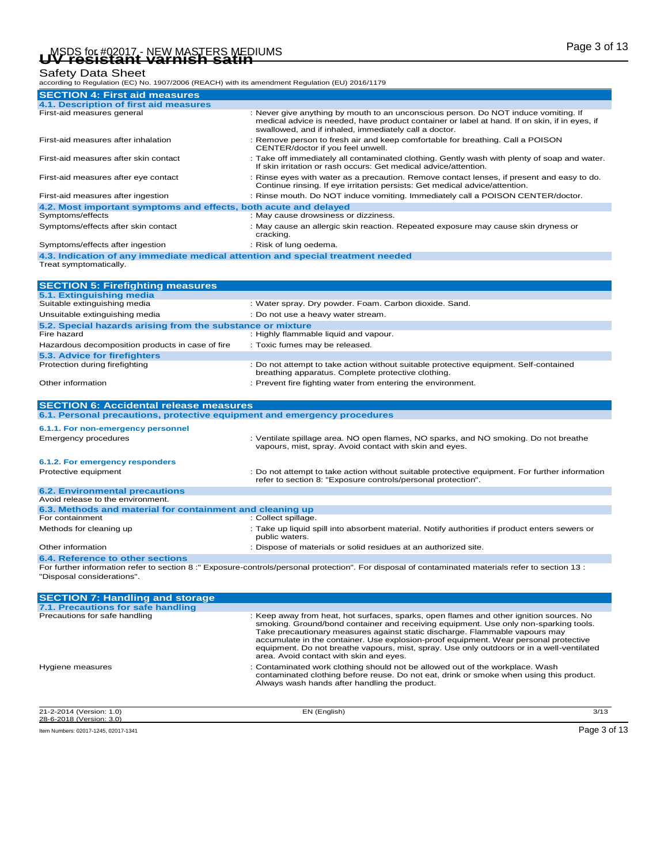### Safety Data Sheet

| according to Regulation (EC) No. 1907/2006 (REACH) with its amendment Regulation (EU) 2016/1179 |                                                                                                                                                                                                                                                                                                                                                                                                                                                                                                |
|-------------------------------------------------------------------------------------------------|------------------------------------------------------------------------------------------------------------------------------------------------------------------------------------------------------------------------------------------------------------------------------------------------------------------------------------------------------------------------------------------------------------------------------------------------------------------------------------------------|
| <b>SECTION 4: First aid measures</b>                                                            |                                                                                                                                                                                                                                                                                                                                                                                                                                                                                                |
| 4.1. Description of first aid measures                                                          |                                                                                                                                                                                                                                                                                                                                                                                                                                                                                                |
| First-aid measures general                                                                      | : Never give anything by mouth to an unconscious person. Do NOT induce vomiting. If<br>medical advice is needed, have product container or label at hand. If on skin, if in eyes, if<br>swallowed, and if inhaled, immediately call a doctor.                                                                                                                                                                                                                                                  |
| First-aid measures after inhalation                                                             | : Remove person to fresh air and keep comfortable for breathing. Call a POISON<br>CENTER/doctor if you feel unwell.                                                                                                                                                                                                                                                                                                                                                                            |
| First-aid measures after skin contact                                                           | : Take off immediately all contaminated clothing. Gently wash with plenty of soap and water.<br>If skin irritation or rash occurs: Get medical advice/attention.                                                                                                                                                                                                                                                                                                                               |
| First-aid measures after eye contact                                                            | : Rinse eyes with water as a precaution. Remove contact lenses, if present and easy to do.<br>Continue rinsing. If eye irritation persists: Get medical advice/attention.                                                                                                                                                                                                                                                                                                                      |
| First-aid measures after ingestion                                                              | : Rinse mouth. Do NOT induce vomiting. Immediately call a POISON CENTER/doctor.                                                                                                                                                                                                                                                                                                                                                                                                                |
| 4.2. Most important symptoms and effects, both acute and delayed                                |                                                                                                                                                                                                                                                                                                                                                                                                                                                                                                |
| Symptoms/effects                                                                                | : May cause drowsiness or dizziness.                                                                                                                                                                                                                                                                                                                                                                                                                                                           |
| Symptoms/effects after skin contact                                                             | : May cause an allergic skin reaction. Repeated exposure may cause skin dryness or<br>cracking.                                                                                                                                                                                                                                                                                                                                                                                                |
| Symptoms/effects after ingestion                                                                | : Risk of lung oedema.                                                                                                                                                                                                                                                                                                                                                                                                                                                                         |
| 4.3. Indication of any immediate medical attention and special treatment needed                 |                                                                                                                                                                                                                                                                                                                                                                                                                                                                                                |
| Treat symptomatically.                                                                          |                                                                                                                                                                                                                                                                                                                                                                                                                                                                                                |
| <b>SECTION 5: Firefighting measures</b>                                                         |                                                                                                                                                                                                                                                                                                                                                                                                                                                                                                |
| 5.1. Extinguishing media                                                                        |                                                                                                                                                                                                                                                                                                                                                                                                                                                                                                |
| Suitable extinguishing media                                                                    | : Water spray. Dry powder. Foam. Carbon dioxide. Sand.                                                                                                                                                                                                                                                                                                                                                                                                                                         |
| Unsuitable extinguishing media                                                                  | : Do not use a heavy water stream.                                                                                                                                                                                                                                                                                                                                                                                                                                                             |
| 5.2. Special hazards arising from the substance or mixture                                      |                                                                                                                                                                                                                                                                                                                                                                                                                                                                                                |
| Fire hazard                                                                                     | : Highly flammable liquid and vapour.                                                                                                                                                                                                                                                                                                                                                                                                                                                          |
| Hazardous decomposition products in case of fire                                                | : Toxic fumes may be released.                                                                                                                                                                                                                                                                                                                                                                                                                                                                 |
| 5.3. Advice for firefighters                                                                    |                                                                                                                                                                                                                                                                                                                                                                                                                                                                                                |
| Protection during firefighting                                                                  | : Do not attempt to take action without suitable protective equipment. Self-contained<br>breathing apparatus. Complete protective clothing.                                                                                                                                                                                                                                                                                                                                                    |
| Other information                                                                               | : Prevent fire fighting water from entering the environment.                                                                                                                                                                                                                                                                                                                                                                                                                                   |
| <b>SECTION 6: Accidental release measures</b>                                                   |                                                                                                                                                                                                                                                                                                                                                                                                                                                                                                |
| 6.1. Personal precautions, protective equipment and emergency procedures                        |                                                                                                                                                                                                                                                                                                                                                                                                                                                                                                |
|                                                                                                 |                                                                                                                                                                                                                                                                                                                                                                                                                                                                                                |
| 6.1.1. For non-emergency personnel<br><b>Emergency procedures</b>                               | : Ventilate spillage area. NO open flames, NO sparks, and NO smoking. Do not breathe                                                                                                                                                                                                                                                                                                                                                                                                           |
|                                                                                                 | vapours, mist, spray. Avoid contact with skin and eyes.                                                                                                                                                                                                                                                                                                                                                                                                                                        |
| 6.1.2. For emergency responders                                                                 |                                                                                                                                                                                                                                                                                                                                                                                                                                                                                                |
| Protective equipment                                                                            | Do not attempt to take action without suitable protective equipment. For further information<br>refer to section 8: "Exposure controls/personal protection".                                                                                                                                                                                                                                                                                                                                   |
| <b>6.2. Environmental precautions</b>                                                           |                                                                                                                                                                                                                                                                                                                                                                                                                                                                                                |
| Avoid release to the environment.                                                               |                                                                                                                                                                                                                                                                                                                                                                                                                                                                                                |
| 6.3. Methods and material for containment and cleaning up<br>For containment                    | : Collect spillage.                                                                                                                                                                                                                                                                                                                                                                                                                                                                            |
| Methods for cleaning up                                                                         | : Take up liquid spill into absorbent material. Notify authorities if product enters sewers or                                                                                                                                                                                                                                                                                                                                                                                                 |
| Other information                                                                               | public waters.<br>: Dispose of materials or solid residues at an authorized site.                                                                                                                                                                                                                                                                                                                                                                                                              |
| <b>6.4. Reference to other sections</b>                                                         |                                                                                                                                                                                                                                                                                                                                                                                                                                                                                                |
| 'Disposal considerations".                                                                      | For further information refer to section 8:" Exposure-controls/personal protection". For disposal of contaminated materials refer to section 13:                                                                                                                                                                                                                                                                                                                                               |
| <b>SECTION 7: Handling and storage</b>                                                          |                                                                                                                                                                                                                                                                                                                                                                                                                                                                                                |
| 7.1. Precautions for safe handling                                                              |                                                                                                                                                                                                                                                                                                                                                                                                                                                                                                |
| Precautions for safe handling                                                                   | : Keep away from heat, hot surfaces, sparks, open flames and other ignition sources. No<br>smoking. Ground/bond container and receiving equipment. Use only non-sparking tools.<br>Take precautionary measures against static discharge. Flammable vapours may<br>accumulate in the container. Use explosion-proof equipment. Wear personal protective<br>equipment. Do not breathe vapours, mist, spray. Use only outdoors or in a well-ventilated<br>area. Avoid contact with skin and eyes. |

21-2-2014 (Version: 1.0) EN (English) 3/13

Hygiene measures **Exercise Set and Termin and September 2**: Contaminated work clothing should not be allowed out of the workplace. Wash<br>contaminated clothing before reuse. Do not eat, drink or smoke when using this product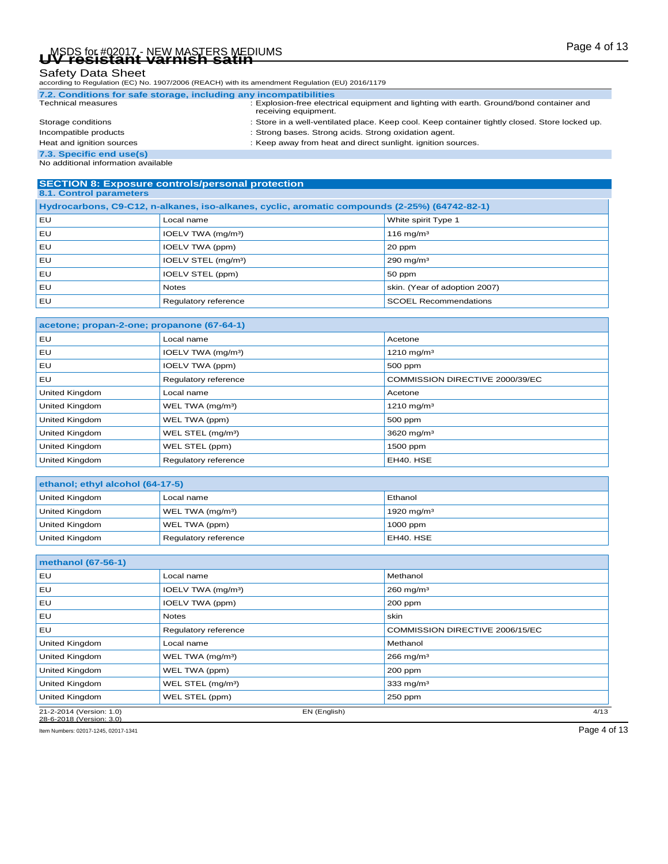# Page 4 of 13 MSDS for #02017 - NEW MASTERS MEDIUMS **UV resistant varnish satin**

| according to Regulation (EC) No. 1907/2006 (REACH) with its amendment Regulation (EU) 2016/1179 |  |
|-------------------------------------------------------------------------------------------------|--|
|-------------------------------------------------------------------------------------------------|--|

| 7.2. Conditions for safe storage, including any incompatibilities |                                                                                                                  |
|-------------------------------------------------------------------|------------------------------------------------------------------------------------------------------------------|
| <b>Technical measures</b>                                         | : Explosion-free electrical equipment and lighting with earth. Ground/bond container and<br>receiving equipment. |
| Storage conditions                                                | : Store in a well-ventilated place. Keep cool. Keep container tightly closed. Store locked up.                   |
| Incompatible products                                             | : Strong bases. Strong acids. Strong oxidation agent.                                                            |
| Heat and ignition sources                                         | : Keep away from heat and direct sunlight. ignition sources.                                                     |
| 7.3. Specific end use(s)                                          |                                                                                                                  |
| No additional information available                               |                                                                                                                  |

#### **SECTION 8: Exposure controls/personal protection 8.1. Control parameters**

| Hydrocarbons, C9-C12, n-alkanes, iso-alkanes, cyclic, aromatic compounds (2-25%) (64742-82-1) |                                 |                               |  |  |
|-----------------------------------------------------------------------------------------------|---------------------------------|-------------------------------|--|--|
| EU                                                                                            | Local name                      | White spirit Type 1           |  |  |
| , EU                                                                                          | IOELV TWA (mg/m <sup>3</sup> )  | $116$ mg/m <sup>3</sup>       |  |  |
| EU                                                                                            | IOELV TWA (ppm)                 | 20 ppm                        |  |  |
| , EU                                                                                          | IOELV STEL (mg/m <sup>3</sup> ) | $290$ mg/m <sup>3</sup>       |  |  |
| EU                                                                                            | IOELV STEL (ppm)                | 50 ppm                        |  |  |
| EU                                                                                            | <b>Notes</b>                    | skin. (Year of adoption 2007) |  |  |
| EU                                                                                            | Regulatory reference            | <b>SCOEL Recommendations</b>  |  |  |

### **acetone; propan-2-one; propanone (67-64-1)** EU Local name Acetone Acetone EU IOELV TWA (mg/m³) 1210 mg/m³ EU IOELV TWA (ppm) 500 ppm EU Regulatory reference COMMISSION DIRECTIVE 2000/39/EC United Kingdom **Acetone Local name** Acetone **Acetone Acetone** United Kingdom **WEL TWA (mg/m<sup>3</sup>)** 1210 mg/m<sup>3</sup> United Kingdom **WEL TWA (ppm)** 500 ppm United Kingdom **WEL STEL (mg/m<sup>3</sup>)** 3620 mg/m<sup>3</sup> United Kingdom **WEL STEL (ppm)** 1500 ppm United Kingdom **Regulatory reference EH40. HSE**

| ethanol; ethyl alcohol (64-17-5) |                              |               |  |  |
|----------------------------------|------------------------------|---------------|--|--|
| United Kingdom                   | Local name                   | Ethanol       |  |  |
| United Kingdom                   | WEL TWA (mg/m <sup>3</sup> ) | 1920 mg/m $3$ |  |  |
| United Kingdom                   | WEL TWA (ppm)                | $1000$ ppm    |  |  |
| United Kingdom                   | Regulatory reference         | EH40, HSE     |  |  |

| methanol (67-56-1)       |                                |              |                                 |      |
|--------------------------|--------------------------------|--------------|---------------------------------|------|
| EU                       | Local name                     |              | Methanol                        |      |
| EU                       | IOELV TWA (mg/m <sup>3</sup> ) |              | $260$ mg/m <sup>3</sup>         |      |
| EU                       | IOELV TWA (ppm)                |              | 200 ppm                         |      |
| EU                       | <b>Notes</b>                   |              | skin                            |      |
| EU                       | Regulatory reference           |              | COMMISSION DIRECTIVE 2006/15/EC |      |
| <b>United Kingdom</b>    | Local name                     |              | Methanol                        |      |
| <b>United Kingdom</b>    | WEL TWA (mg/m <sup>3</sup> )   |              | $266$ mg/m <sup>3</sup>         |      |
| <b>United Kingdom</b>    | WEL TWA (ppm)                  |              | 200 ppm                         |      |
| United Kingdom           | WEL STEL (mg/m <sup>3</sup> )  |              | 333 mg/m $3$                    |      |
| United Kingdom           | WEL STEL (ppm)                 |              | 250 ppm                         |      |
| 21-2-2014 (Version: 1.0) |                                | EN (English) |                                 | 4/13 |

28-6-2018 (Version: 3.0) Item Numbers: 02017-1245, 02017-1341 Page 4 of 13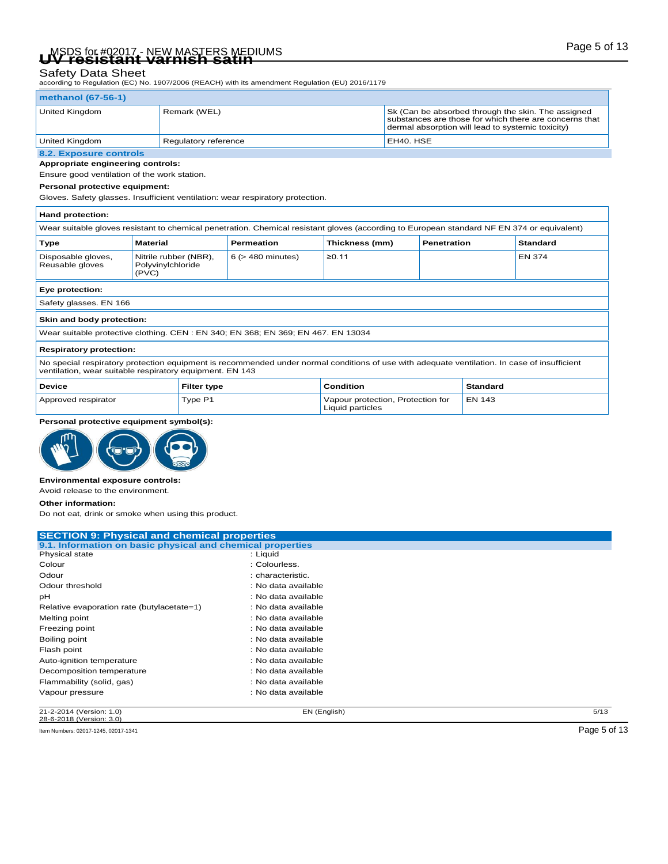# Page 5 of 13 MSDS for #02017 - NEW MASTERS MEDIUMS **UV resistant varnish satin**

### Safety Data Sheet

according to Regulation (EC) No. 1907/2006 (REACH) with its amendment Regulation (EU) 2016/1179

#### **methanol (67-56-1)**

| United Kingdom                                            | Remark (WEL)         | Sk (Can be absorbed through the skin. The assigned<br>substances are those for which there are concerns that<br>dermal absorption will lead to systemic toxicity) |
|-----------------------------------------------------------|----------------------|-------------------------------------------------------------------------------------------------------------------------------------------------------------------|
| United Kingdom                                            | Regulatory reference | EH40. HSE                                                                                                                                                         |
| <b>CONTINUES IN A STRAIGHT AND A STRAIGHT AND INCOME.</b> |                      |                                                                                                                                                                   |

#### **8.2. Exposure controls Appropriate engineering controls:**

Ensure good ventilation of the work station.

#### **Personal protective equipment:**

Gloves. Safety glasses. Insufficient ventilation: wear respiratory protection.

| Hand protection:                                                                                                                                                                                         |                                                     |                                                                                  |                  |  |          |               |  |
|----------------------------------------------------------------------------------------------------------------------------------------------------------------------------------------------------------|-----------------------------------------------------|----------------------------------------------------------------------------------|------------------|--|----------|---------------|--|
| Wear suitable gloves resistant to chemical penetration. Chemical resistant gloves (according to European standard NF EN 374 or equivalent)                                                               |                                                     |                                                                                  |                  |  |          |               |  |
| <b>Type</b>                                                                                                                                                                                              | <b>Material</b>                                     | Thickness (mm)<br><b>Permeation</b><br><b>Penetration</b><br><b>Standard</b>     |                  |  |          |               |  |
| Disposable gloves,<br>Reusable gloves                                                                                                                                                                    | Nitrile rubber (NBR),<br>Polyvinylchloride<br>(PVC) | $6$ ( $>$ 480 minutes)                                                           | ≥0.11            |  |          | <b>EN 374</b> |  |
| Eye protection:                                                                                                                                                                                          |                                                     |                                                                                  |                  |  |          |               |  |
| Safety glasses. EN 166                                                                                                                                                                                   |                                                     |                                                                                  |                  |  |          |               |  |
| Skin and body protection:                                                                                                                                                                                |                                                     |                                                                                  |                  |  |          |               |  |
|                                                                                                                                                                                                          |                                                     | Wear suitable protective clothing. CEN: EN 340; EN 368; EN 369; EN 467. EN 13034 |                  |  |          |               |  |
| <b>Respiratory protection:</b>                                                                                                                                                                           |                                                     |                                                                                  |                  |  |          |               |  |
| No special respiratory protection equipment is recommended under normal conditions of use with adequate ventilation. In case of insufficient<br>ventilation, wear suitable respiratory equipment. EN 143 |                                                     |                                                                                  |                  |  |          |               |  |
| <b>Device</b>                                                                                                                                                                                            | <b>Filter type</b>                                  |                                                                                  | <b>Condition</b> |  | Standard |               |  |
| <b>EN 143</b><br>Type P1<br>Approved respirator<br>Vapour protection, Protection for<br>Liquid particles                                                                                                 |                                                     |                                                                                  |                  |  |          |               |  |

|  | Personal protective equipment symbol(s): |  |
|--|------------------------------------------|--|



#### **Environmental exposure controls:**

Avoid release to the environment.

**Other information:**

Do not eat, drink or smoke when using this product.

| <b>SECTION 9: Physical and chemical properties</b>         |                     |      |
|------------------------------------------------------------|---------------------|------|
| 9.1. Information on basic physical and chemical properties |                     |      |
| <b>Physical state</b>                                      | : Liquid            |      |
| Colour                                                     | : Colourless.       |      |
| Odour                                                      | : characteristic.   |      |
| Odour threshold                                            | : No data available |      |
| рH                                                         | : No data available |      |
| Relative evaporation rate (butylacetate=1)                 | : No data available |      |
| Melting point                                              | : No data available |      |
| Freezing point                                             | : No data available |      |
| Boiling point                                              | : No data available |      |
| Flash point                                                | : No data available |      |
| Auto-ignition temperature                                  | : No data available |      |
| Decomposition temperature                                  | : No data available |      |
| Flammability (solid, gas)                                  | : No data available |      |
| Vapour pressure                                            | : No data available |      |
| 21-2-2014 (Version: 1.0)                                   | EN (English)        | 5/13 |

28-6-2018 (Version: 3.0) Item Numbers: 02017-1245, 02017-1341 Page 5 of 13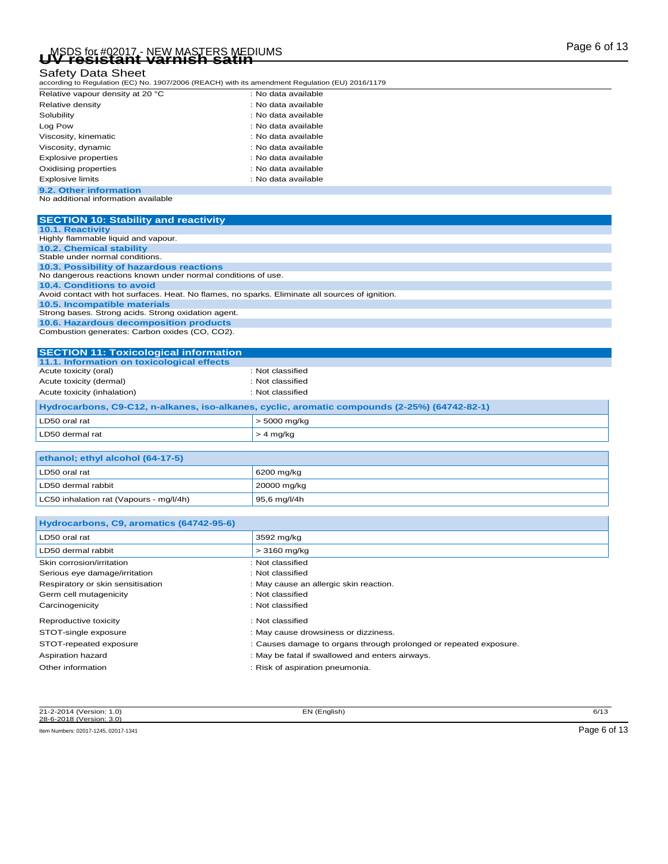# Page 6 of 13 MSDS for #02017 - NEW MASTERS MEDIUMS **UV resistant varnish satin**

### Safety Data Sheet

| according to Regulation (EC) No. 1907/2006 (REACH) with its amendment Regulation (EU) 2016/1179 |
|-------------------------------------------------------------------------------------------------|
|                                                                                                 |

| Relative vapour density at 20 °C    | : No data available |
|-------------------------------------|---------------------|
| Relative density                    | : No data available |
| Solubility                          | : No data available |
| Log Pow                             | : No data available |
| Viscosity, kinematic                | : No data available |
| Viscosity, dynamic                  | : No data available |
| <b>Explosive properties</b>         | : No data available |
| Oxidising properties                | : No data available |
| Explosive limits                    | : No data available |
| 9.2. Other information              |                     |
| No additional information available |                     |

| <b>SECTION 10: Stability and reactivity</b>                                                     |
|-------------------------------------------------------------------------------------------------|
| 10.1. Reactivity                                                                                |
| Highly flammable liquid and vapour.                                                             |
| 10.2. Chemical stability                                                                        |
| Stable under normal conditions.                                                                 |
| 10.3. Possibility of hazardous reactions                                                        |
| No dangerous reactions known under normal conditions of use.                                    |
| 10.4. Conditions to avoid                                                                       |
| Avoid contact with hot surfaces. Heat. No flames, no sparks. Eliminate all sources of ignition. |
| 10.5. Incompatible materials                                                                    |
| Strong bases. Strong acids. Strong oxidation agent.                                             |
| 10.6. Hazardous decomposition products                                                          |
| Combustion generates: Carbon oxides (CO, CO2).                                                  |
|                                                                                                 |
| <b>SECTION 11: Toxicological information</b>                                                    |
| 11.1. Information on toxicological effects                                                      |

| LD50 dermal rat                                                                               | $> 4$ mg/kg      |  |
|-----------------------------------------------------------------------------------------------|------------------|--|
| LD50 oral rat                                                                                 | $>$ 5000 mg/kg   |  |
| Hydrocarbons, C9-C12, n-alkanes, iso-alkanes, cyclic, aromatic compounds (2-25%) (64742-82-1) |                  |  |
| Acute toxicity (inhalation)                                                                   | : Not classified |  |
| Acute toxicity (dermal)                                                                       | : Not classified |  |
| Acute toxicity (oral)                                                                         | : Not classified |  |

| ethanol; ethyl alcohol (64-17-5)        |              |  |
|-----------------------------------------|--------------|--|
| LD50 oral rat                           | 6200 mg/kg   |  |
| LD50 dermal rabbit                      | 20000 mg/kg  |  |
| LC50 inhalation rat (Vapours - mg/l/4h) | 95,6 mg/l/4h |  |

| Hydrocarbons, C9, aromatics (64742-95-6) |                                                                   |
|------------------------------------------|-------------------------------------------------------------------|
| LD50 oral rat                            | 3592 mg/kg                                                        |
| LD50 dermal rabbit                       | > 3160 mg/kg                                                      |
| Skin corrosion/irritation                | : Not classified                                                  |
| Serious eye damage/irritation            | : Not classified                                                  |
| Respiratory or skin sensitisation        | : May cause an allergic skin reaction.                            |
| Germ cell mutagenicity                   | : Not classified                                                  |
| Carcinogenicity                          | : Not classified                                                  |
| Reproductive toxicity                    | : Not classified                                                  |
| STOT-single exposure                     | : May cause drowsiness or dizziness.                              |
| STOT-repeated exposure                   | : Causes damage to organs through prolonged or repeated exposure. |
| Aspiration hazard                        | : May be fatal if swallowed and enters airways.                   |
| Other information                        | : Risk of aspiration pneumonia.                                   |

21-2-2014 (Version: 1.0) EN (English) 6/13 28-6-2018 (Version: 3.0)

Item Numbers: 02017-1245, 02017-1341 Page 6 of 13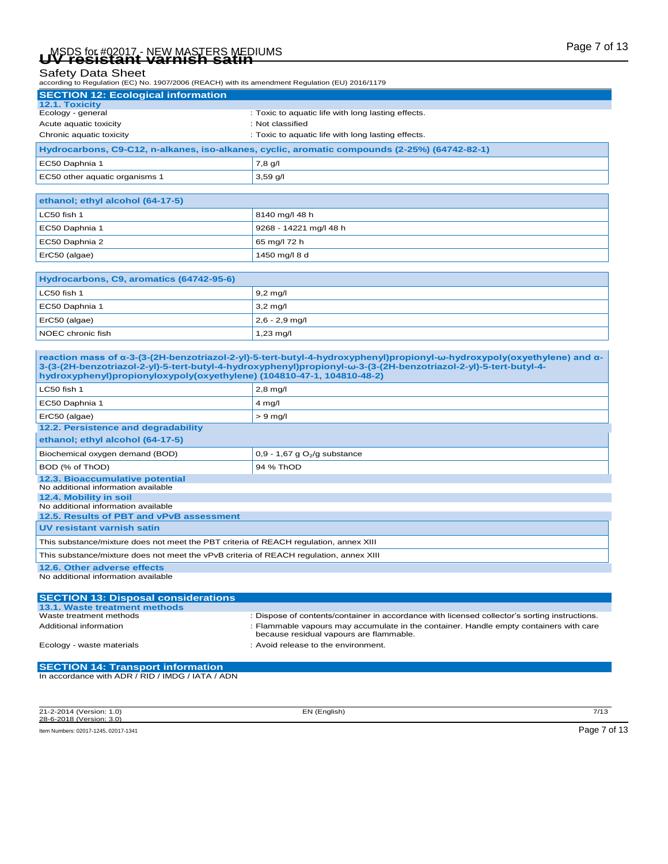# Page 7 of 13 MSDS for #02017 - NEW MASTERS MEDIUMS **UV resistant varnish satin**

### Safety Data Sheet

according to Regulation (EC) No. 1907/2006 (REACH) with its amendment Regulation (EU) 2016/1179

| <b>SECTION 12: Ecological information</b>                                                     |                                                    |  |
|-----------------------------------------------------------------------------------------------|----------------------------------------------------|--|
| 12.1. Toxicity                                                                                |                                                    |  |
| Ecology - general                                                                             | : Toxic to aquatic life with long lasting effects. |  |
| Acute aquatic toxicity                                                                        | : Not classified                                   |  |
| Chronic aquatic toxicity                                                                      | : Toxic to aquatic life with long lasting effects. |  |
| Hydrocarbons, C9-C12, n-alkanes, iso-alkanes, cyclic, aromatic compounds (2-25%) (64742-82-1) |                                                    |  |
| EC50 Daphnia 1                                                                                | 7,8 g/l                                            |  |
| EC50 other aquatic organisms 1                                                                | $3,59$ q/l                                         |  |

| ethanol; ethyl alcohol (64-17-5) |                        |  |
|----------------------------------|------------------------|--|
| LC50 fish 1                      | 8140 mg/l 48 h         |  |
| EC50 Daphnia 1                   | 9268 - 14221 mg/l 48 h |  |
| EC50 Daphnia 2                   | 65 mg/l 72 h           |  |
| ErC50 (algae)                    | 1450 mg/l 8 d          |  |

| Hydrocarbons, C9, aromatics (64742-95-6) |                     |  |
|------------------------------------------|---------------------|--|
| LC50 fish 1                              | $9.2 \text{ mq/l}$  |  |
| EC50 Daphnia 1                           | $3.2 \text{ mq/l}$  |  |
| $Erc50$ (algae)                          | $2,6 - 2,9$ mg/l    |  |
| NOEC chronic fish                        | $1,23 \text{ mg/l}$ |  |

**reaction mass of α-3-(3-(2H-benzotriazol-2-yl)-5-tert-butyl-4-hydroxyphenyl)propionyl-ω-hydroxypoly(oxyethylene) and α-3-(3-(2H-benzotriazol-2-yl)-5-tert-butyl-4-hydroxyphenyl)propionyl-ω-3-(3-(2H-benzotriazol-2-yl)-5-tert-butyl-4 hydroxyphenyl)propionyloxypoly(oxyethylene) (104810-47-1, 104810-48-2)**

| LC50 fish 1                                                                            | $2,8$ mg/l                                 |  |
|----------------------------------------------------------------------------------------|--------------------------------------------|--|
| EC50 Daphnia 1                                                                         | $4 \text{ mg/l}$                           |  |
| ErC50 (algae)                                                                          | $> 9$ mg/l                                 |  |
| 12.2. Persistence and degradability                                                    |                                            |  |
| ethanol; ethyl alcohol (64-17-5)                                                       |                                            |  |
| Biochemical oxygen demand (BOD)                                                        | $0,9 - 1,67$ g O <sub>2</sub> /g substance |  |
| BOD (% of ThOD)                                                                        | 94 % ThOD                                  |  |
| 12.3. Bioaccumulative potential                                                        |                                            |  |
| No additional information available                                                    |                                            |  |
| 12.4. Mobility in soil                                                                 |                                            |  |
| No additional information available                                                    |                                            |  |
| 12.5. Results of PBT and vPvB assessment                                               |                                            |  |
| UV resistant varnish satin                                                             |                                            |  |
| This substance/mixture does not meet the PBT criteria of REACH regulation, annex XIII  |                                            |  |
| This substance/mixture does not meet the vPvB criteria of REACH regulation, annex XIII |                                            |  |
| 12.6. Other adverse effects                                                            |                                            |  |
| No additional information available                                                    |                                            |  |

| <b>SECTION 13: Disposal considerations</b> |                                                                                                                                   |
|--------------------------------------------|-----------------------------------------------------------------------------------------------------------------------------------|
| 13.1. Waste treatment methods              |                                                                                                                                   |
| Waste treatment methods                    | : Dispose of contents/container in accordance with licensed collector's sorting instructions.                                     |
| Additional information                     | : Flammable vapours may accumulate in the container. Handle empty containers with care<br>because residual vapours are flammable. |
| Ecology - waste materials                  | : Avoid release to the environment.                                                                                               |
|                                            |                                                                                                                                   |
|                                            |                                                                                                                                   |

**SECTION 14: Transport information** In accordance with ADR / RID / IMDG / IATA / ADN

| 21-2-2014 (Version: 1.0)             | EN (English) | 7/13         |
|--------------------------------------|--------------|--------------|
| 28-6-2018 (Version: 3.0)             |              |              |
| Item Numbers: 02017-1245, 02017-1341 |              | Page 7 of 13 |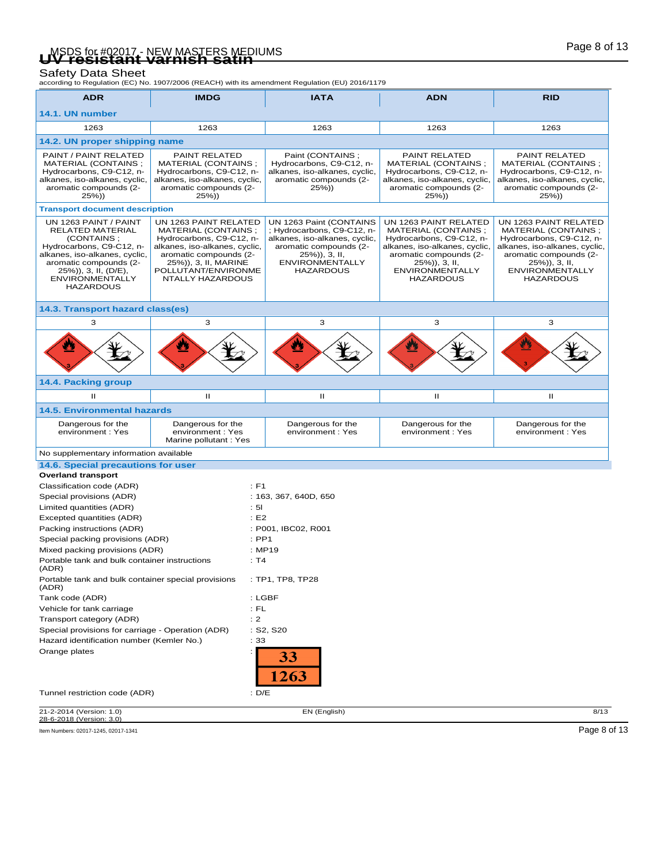# Page 8 of 13 MSDS for #02017 - NEW MASTERS MEDIUMS **UV resistant varnish satin**

Safety Data Sheet<br>according to Regulation (EC) No. 1907/2006 (REACH) with its amendment Regulation (EU) 2016/1179

|                                                                                                                                                                                                                             |                                                                                                                                                                                                        | according to regulation (EO) No. 1907/2000 (REAOH) with its americanemic Regulation (EO) 2010/1179                                                                                 |                                                                                                                                                                                                     |                                                                                                                                                                                                    |
|-----------------------------------------------------------------------------------------------------------------------------------------------------------------------------------------------------------------------------|--------------------------------------------------------------------------------------------------------------------------------------------------------------------------------------------------------|------------------------------------------------------------------------------------------------------------------------------------------------------------------------------------|-----------------------------------------------------------------------------------------------------------------------------------------------------------------------------------------------------|----------------------------------------------------------------------------------------------------------------------------------------------------------------------------------------------------|
| <b>ADR</b>                                                                                                                                                                                                                  | <b>IMDG</b>                                                                                                                                                                                            | <b>IATA</b>                                                                                                                                                                        | <b>ADN</b>                                                                                                                                                                                          | <b>RID</b>                                                                                                                                                                                         |
| 14.1. UN number                                                                                                                                                                                                             |                                                                                                                                                                                                        |                                                                                                                                                                                    |                                                                                                                                                                                                     |                                                                                                                                                                                                    |
| 1263                                                                                                                                                                                                                        | 1263                                                                                                                                                                                                   | 1263                                                                                                                                                                               | 1263                                                                                                                                                                                                | 1263                                                                                                                                                                                               |
| 14.2. UN proper shipping name                                                                                                                                                                                               |                                                                                                                                                                                                        |                                                                                                                                                                                    |                                                                                                                                                                                                     |                                                                                                                                                                                                    |
| PAINT / PAINT RELATED<br>MATERIAL (CONTAINS;<br>Hydrocarbons, C9-C12, n-<br>alkanes, iso-alkanes, cyclic,<br>aromatic compounds (2-<br>$25\%)$                                                                              | <b>PAINT RELATED</b><br>MATERIAL (CONTAINS;<br>Hydrocarbons, C9-C12, n-<br>alkanes, iso-alkanes, cyclic,<br>aromatic compounds (2-<br>$25\%)$                                                          | Paint (CONTAINS;<br>Hydrocarbons, C9-C12, n-<br>alkanes, iso-alkanes, cyclic,<br>aromatic compounds (2-<br>$25\%)$                                                                 | PAINT RELATED<br>MATERIAL (CONTAINS;<br>Hydrocarbons, C9-C12, n-<br>alkanes, iso-alkanes, cyclic,<br>aromatic compounds (2-<br>$25\%)$                                                              | PAINT RELATED<br>MATERIAL (CONTAINS;<br>Hydrocarbons, C9-C12, n-<br>alkanes, iso-alkanes, cyclic,<br>aromatic compounds (2-<br>$25\%)$                                                             |
| <b>Transport document description</b>                                                                                                                                                                                       |                                                                                                                                                                                                        |                                                                                                                                                                                    |                                                                                                                                                                                                     |                                                                                                                                                                                                    |
| UN 1263 PAINT / PAINT<br><b>RELATED MATERIAL</b><br>(CONTAINS:<br>Hydrocarbons, C9-C12, n-<br>alkanes, iso-alkanes, cyclic,<br>aromatic compounds (2-<br>25%)), 3, II, (D/E),<br><b>ENVIRONMENTALLY</b><br><b>HAZARDOUS</b> | UN 1263 PAINT RELATED<br>MATERIAL (CONTAINS;<br>Hydrocarbons, C9-C12, n-<br>alkanes, iso-alkanes, cyclic,<br>aromatic compounds (2-<br>25%)), 3, II, MARINE<br>POLLUTANT/ENVIRONME<br>NTALLY HAZARDOUS | UN 1263 Paint (CONTAINS<br>; Hydrocarbons, C9-C12, n-<br>alkanes, iso-alkanes, cyclic,<br>aromatic compounds (2-<br>$25\%)$ , 3, II,<br><b>ENVIRONMENTALLY</b><br><b>HAZARDOUS</b> | UN 1263 PAINT RELATED<br>MATERIAL (CONTAINS ;<br>Hydrocarbons, C9-C12, n-<br>alkanes, iso-alkanes, cyclic,<br>aromatic compounds (2-<br>25%)), 3, II,<br><b>ENVIRONMENTALLY</b><br><b>HAZARDOUS</b> | UN 1263 PAINT RELATED<br>MATERIAL (CONTAINS;<br>Hydrocarbons, C9-C12, n-<br>alkanes, iso-alkanes, cyclic,<br>aromatic compounds (2-<br>25%)), 3, II,<br><b>ENVIRONMENTALLY</b><br><b>HAZARDOUS</b> |
| 14.3. Transport hazard class(es)                                                                                                                                                                                            |                                                                                                                                                                                                        |                                                                                                                                                                                    |                                                                                                                                                                                                     |                                                                                                                                                                                                    |
| 3                                                                                                                                                                                                                           | 3                                                                                                                                                                                                      | 3                                                                                                                                                                                  | 3                                                                                                                                                                                                   | 3                                                                                                                                                                                                  |
|                                                                                                                                                                                                                             |                                                                                                                                                                                                        |                                                                                                                                                                                    |                                                                                                                                                                                                     |                                                                                                                                                                                                    |
| 14.4. Packing group                                                                                                                                                                                                         |                                                                                                                                                                                                        |                                                                                                                                                                                    |                                                                                                                                                                                                     |                                                                                                                                                                                                    |
| $\mathbf{H}$                                                                                                                                                                                                                | Ш                                                                                                                                                                                                      | Ш                                                                                                                                                                                  | п                                                                                                                                                                                                   | Ш                                                                                                                                                                                                  |
| <b>14.5. Environmental hazards</b>                                                                                                                                                                                          |                                                                                                                                                                                                        |                                                                                                                                                                                    |                                                                                                                                                                                                     |                                                                                                                                                                                                    |
| Dangerous for the<br>environment : Yes                                                                                                                                                                                      | Dangerous for the<br>environment: Yes<br>Marine pollutant: Yes                                                                                                                                         | Dangerous for the<br>environment: Yes                                                                                                                                              | Dangerous for the<br>environment: Yes                                                                                                                                                               | Dangerous for the<br>environment: Yes                                                                                                                                                              |
| No supplementary information available                                                                                                                                                                                      |                                                                                                                                                                                                        |                                                                                                                                                                                    |                                                                                                                                                                                                     |                                                                                                                                                                                                    |
| 14.6. Special precautions for user                                                                                                                                                                                          |                                                                                                                                                                                                        |                                                                                                                                                                                    |                                                                                                                                                                                                     |                                                                                                                                                                                                    |
| <b>Overland transport</b>                                                                                                                                                                                                   |                                                                                                                                                                                                        |                                                                                                                                                                                    |                                                                                                                                                                                                     |                                                                                                                                                                                                    |
| Classification code (ADR)                                                                                                                                                                                                   | $E$ F1                                                                                                                                                                                                 |                                                                                                                                                                                    |                                                                                                                                                                                                     |                                                                                                                                                                                                    |
| Special provisions (ADR)                                                                                                                                                                                                    |                                                                                                                                                                                                        | : 163, 367, 640D, 650                                                                                                                                                              |                                                                                                                                                                                                     |                                                                                                                                                                                                    |
| Limited quantities (ADR)                                                                                                                                                                                                    | : 51                                                                                                                                                                                                   |                                                                                                                                                                                    |                                                                                                                                                                                                     |                                                                                                                                                                                                    |
| Excepted quantities (ADR)                                                                                                                                                                                                   | E2                                                                                                                                                                                                     |                                                                                                                                                                                    |                                                                                                                                                                                                     |                                                                                                                                                                                                    |
| Packing instructions (ADR)<br>: P001, IBC02, R001                                                                                                                                                                           |                                                                                                                                                                                                        |                                                                                                                                                                                    |                                                                                                                                                                                                     |                                                                                                                                                                                                    |
| Special packing provisions (ADR)                                                                                                                                                                                            | $:$ PP1                                                                                                                                                                                                |                                                                                                                                                                                    |                                                                                                                                                                                                     |                                                                                                                                                                                                    |
| Mixed packing provisions (ADR)<br>Portable tank and bulk container instructions<br>(ADR)                                                                                                                                    | : T4                                                                                                                                                                                                   | : MP19                                                                                                                                                                             |                                                                                                                                                                                                     |                                                                                                                                                                                                    |
| Portable tank and bulk container special provisions<br>(ADR)                                                                                                                                                                |                                                                                                                                                                                                        | : TP1, TP8, TP28                                                                                                                                                                   |                                                                                                                                                                                                     |                                                                                                                                                                                                    |
| Tank code (ADR)                                                                                                                                                                                                             |                                                                                                                                                                                                        | $:$ LGBF                                                                                                                                                                           |                                                                                                                                                                                                     |                                                                                                                                                                                                    |
| Vehicle for tank carriage                                                                                                                                                                                                   | : FL                                                                                                                                                                                                   |                                                                                                                                                                                    |                                                                                                                                                                                                     |                                                                                                                                                                                                    |
| Transport category (ADR)                                                                                                                                                                                                    | : 2                                                                                                                                                                                                    |                                                                                                                                                                                    |                                                                                                                                                                                                     |                                                                                                                                                                                                    |
| Special provisions for carriage - Operation (ADR)                                                                                                                                                                           |                                                                                                                                                                                                        | : S2, S20                                                                                                                                                                          |                                                                                                                                                                                                     |                                                                                                                                                                                                    |
| Hazard identification number (Kemler No.)                                                                                                                                                                                   | : 33                                                                                                                                                                                                   |                                                                                                                                                                                    |                                                                                                                                                                                                     |                                                                                                                                                                                                    |
| Orange plates                                                                                                                                                                                                               |                                                                                                                                                                                                        | 33<br>.263                                                                                                                                                                         |                                                                                                                                                                                                     |                                                                                                                                                                                                    |
| Tunnel restriction code (ADR)                                                                                                                                                                                               | : $D/E$                                                                                                                                                                                                |                                                                                                                                                                                    |                                                                                                                                                                                                     |                                                                                                                                                                                                    |
| 21-2-2014 (Version: 1.0)                                                                                                                                                                                                    |                                                                                                                                                                                                        | EN (English)                                                                                                                                                                       |                                                                                                                                                                                                     | 8/13                                                                                                                                                                                               |

28-6-2018 (Version: 3.0) Item Numbers: 02017-1245, 02017-1341 Page 8 of 13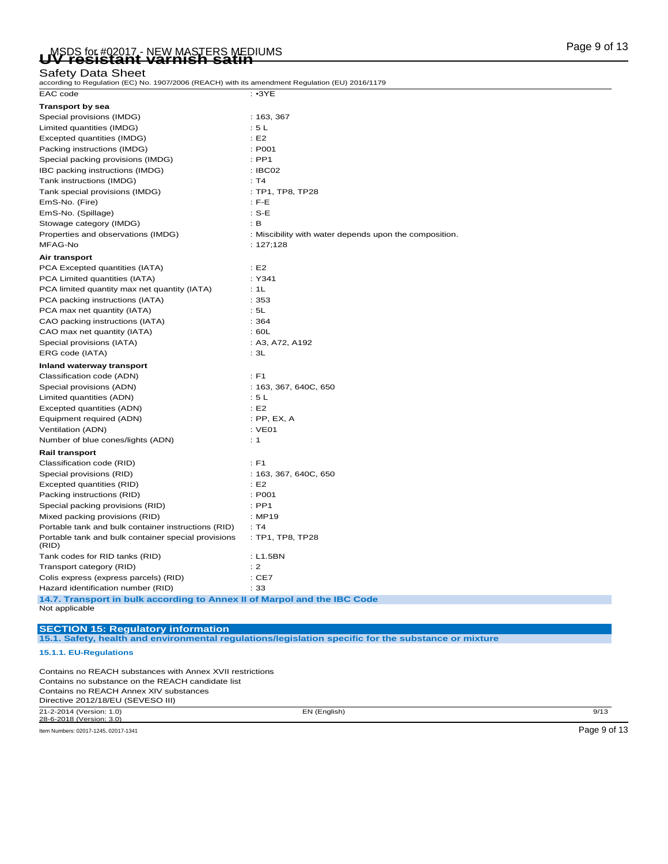# Page 9 of 13 MSDS for #02017 - NEW MASTERS MEDIUMS **UV resistant varnish satin**

### Safety Data Sheet

| according to Regulation (EC) No. 1907/2006 (REACH) with its amendment Regulation (EU) 2016/1179 |                                                                                                      |
|-------------------------------------------------------------------------------------------------|------------------------------------------------------------------------------------------------------|
| EAC code                                                                                        | $: \cdot3YE$                                                                                         |
| <b>Transport by sea</b>                                                                         |                                                                                                      |
| Special provisions (IMDG)                                                                       | : 163, 367                                                                                           |
| Limited quantities (IMDG)                                                                       | : 5L                                                                                                 |
| Excepted quantities (IMDG)                                                                      | E2                                                                                                   |
| Packing instructions (IMDG)                                                                     | : P001                                                                                               |
| Special packing provisions (IMDG)                                                               | $:$ PP1                                                                                              |
| IBC packing instructions (IMDG)                                                                 | : IBCO2                                                                                              |
| Tank instructions (IMDG)                                                                        | : T4                                                                                                 |
| Tank special provisions (IMDG)                                                                  | : TP1, TP8, TP28                                                                                     |
| EmS-No. (Fire)                                                                                  | $:$ F-E                                                                                              |
| EmS-No. (Spillage)                                                                              | $: S-E$                                                                                              |
| Stowage category (IMDG)                                                                         | : B                                                                                                  |
| Properties and observations (IMDG)                                                              | : Miscibility with water depends upon the composition.                                               |
| MFAG-No                                                                                         | : $127;128$                                                                                          |
| Air transport                                                                                   |                                                                                                      |
| PCA Excepted quantities (IATA)                                                                  | E2                                                                                                   |
| PCA Limited quantities (IATA)                                                                   | : Y341                                                                                               |
| PCA limited quantity max net quantity (IATA)                                                    | : 1L                                                                                                 |
| PCA packing instructions (IATA)                                                                 | :353                                                                                                 |
| PCA max net quantity (IATA)                                                                     | : 5L                                                                                                 |
| CAO packing instructions (IATA)                                                                 | :364                                                                                                 |
| CAO max net quantity (IATA)                                                                     | : 60L                                                                                                |
| Special provisions (IATA)                                                                       | : A3, A72, A192                                                                                      |
| ERG code (IATA)                                                                                 | : 3L                                                                                                 |
| Inland waterway transport                                                                       |                                                                                                      |
| Classification code (ADN)                                                                       | $E$ F1                                                                                               |
| Special provisions (ADN)                                                                        | : 163, 367, 640C, 650                                                                                |
| Limited quantities (ADN)                                                                        | : 5L                                                                                                 |
| Excepted quantities (ADN)                                                                       | E2                                                                                                   |
| Equipment required (ADN)                                                                        | : PP, EX, A                                                                                          |
| Ventilation (ADN)                                                                               | $:$ VE01                                                                                             |
| Number of blue cones/lights (ADN)                                                               | : 1                                                                                                  |
| <b>Rail transport</b>                                                                           |                                                                                                      |
| Classification code (RID)                                                                       | $:$ F1                                                                                               |
| Special provisions (RID)                                                                        | : 163, 367, 640C, 650                                                                                |
| Excepted quantities (RID)                                                                       | E2                                                                                                   |
| Packing instructions (RID)                                                                      | : P001                                                                                               |
| Special packing provisions (RID)                                                                | $:$ PP1                                                                                              |
| Mixed packing provisions (RID)                                                                  | : MP19                                                                                               |
| Portable tank and bulk container instructions (RID)                                             | : T4                                                                                                 |
| Portable tank and bulk container special provisions                                             | : TP1, TP8, TP28                                                                                     |
| (RID)<br>Tank codes for RID tanks (RID)                                                         | : L1.5BN                                                                                             |
|                                                                                                 | : 2                                                                                                  |
| Transport category (RID)<br>Colis express (express parcels) (RID)                               | $:$ CE7                                                                                              |
| Hazard identification number (RID)                                                              | : 33                                                                                                 |
| 14.7. Transport in bulk according to Annex II of Marpol and the IBC Code                        |                                                                                                      |
| Not applicable                                                                                  |                                                                                                      |
| <b>SECTION 15: Requlatory information</b>                                                       |                                                                                                      |
| 15.1.1. EU-Regulations                                                                          | 15.1. Safety, health and environmental regulations/legislation specific for the substance or mixture |
| Contains no REACH substances with Annex XVII restrictions                                       |                                                                                                      |
| Contains no substance on the REACH candidate list                                               |                                                                                                      |
| Contains no REACH Annex XIV substances                                                          |                                                                                                      |
| Directive 2012/18/EU (SEVESO III)                                                               |                                                                                                      |

21-2-2014 (Version: 1.0) EN (English) 9/13 28-6-2018 (Version: 3.0)

Item Numbers: 02017-1245, 02017-1341 Page 9 of 13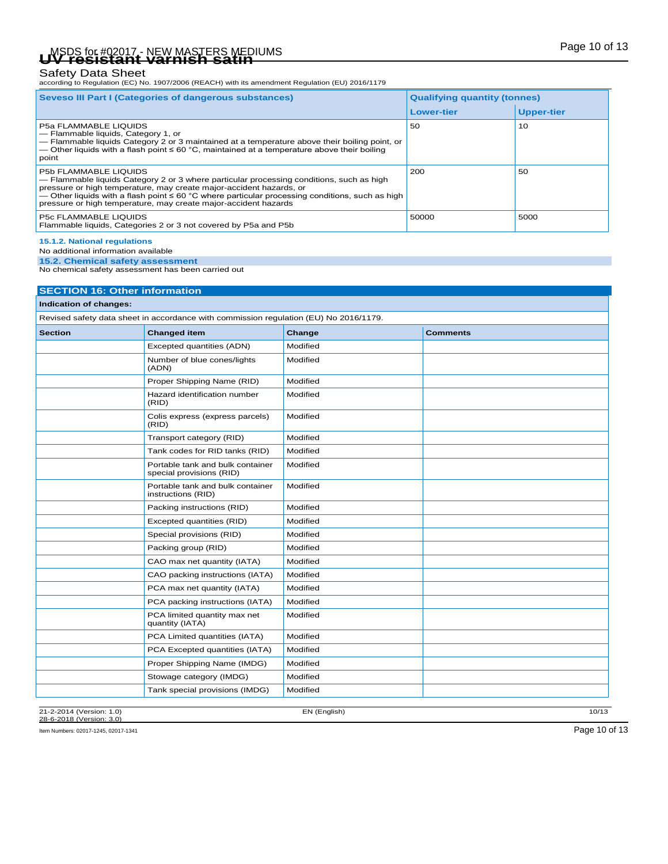# Page 10 of 13 MSDS for #02017 - NEW MASTERS MEDIUMS **UV resistant varnish satin**

Safety Data Sheet<br>according to Regulation (EC) No. 1907/2006 (REACH) with its amendment Regulation (EU) 2016/1179

| Seveso III Part I (Categories of dangerous substances)                                                                                                                                                                                                                                                                                                                     | <b>Qualifying quantity (tonnes)</b> |                   |
|----------------------------------------------------------------------------------------------------------------------------------------------------------------------------------------------------------------------------------------------------------------------------------------------------------------------------------------------------------------------------|-------------------------------------|-------------------|
|                                                                                                                                                                                                                                                                                                                                                                            | <b>Lower-tier</b>                   | <b>Upper-tier</b> |
| <b>P5a FLAMMABLE LIQUIDS</b><br>- Flammable liquids, Category 1, or<br>- Flammable liquids Category 2 or 3 maintained at a temperature above their boiling point, or<br>— Other liquids with a flash point $\leq 60$ °C, maintained at a temperature above their boiling<br>point                                                                                          | 50                                  | 10                |
| <b>P5b FLAMMABLE LIQUIDS</b><br>- Flammable liquids Category 2 or 3 where particular processing conditions, such as high<br>pressure or high temperature, may create major-accident hazards, or<br>— Other liquids with a flash point $\leq 60$ °C where particular processing conditions, such as high<br>pressure or high temperature, may create major-accident hazards | 200                                 | 50                |
| <b>P5c FLAMMABLE LIQUIDS</b><br>Flammable liquids, Categories 2 or 3 not covered by P5a and P5b                                                                                                                                                                                                                                                                            | 50000                               | 5000              |

**15.1.2. National regulations**

No additional information available

**15.2. Chemical safety assessment** No chemical safety assessment has been carried out

| <b>SECTION 16: Other information</b> |                                                                                       |          |                 |  |
|--------------------------------------|---------------------------------------------------------------------------------------|----------|-----------------|--|
| Indication of changes:               |                                                                                       |          |                 |  |
|                                      | Revised safety data sheet in accordance with commission regulation (EU) No 2016/1179. |          |                 |  |
| <b>Section</b>                       | <b>Changed item</b>                                                                   | Change   | <b>Comments</b> |  |
|                                      | Excepted quantities (ADN)                                                             | Modified |                 |  |
|                                      | Number of blue cones/lights<br>(ADN)                                                  | Modified |                 |  |
|                                      | Proper Shipping Name (RID)                                                            | Modified |                 |  |
|                                      | Hazard identification number<br>(RID)                                                 | Modified |                 |  |
|                                      | Colis express (express parcels)<br>(RID)                                              | Modified |                 |  |
|                                      | Transport category (RID)                                                              | Modified |                 |  |
|                                      | Tank codes for RID tanks (RID)                                                        | Modified |                 |  |
|                                      | Portable tank and bulk container<br>special provisions (RID)                          | Modified |                 |  |
|                                      | Portable tank and bulk container<br>instructions (RID)                                | Modified |                 |  |
|                                      | Packing instructions (RID)                                                            | Modified |                 |  |
|                                      | Excepted quantities (RID)                                                             | Modified |                 |  |
|                                      | Special provisions (RID)                                                              | Modified |                 |  |
|                                      | Packing group (RID)                                                                   | Modified |                 |  |
|                                      | CAO max net quantity (IATA)                                                           | Modified |                 |  |
|                                      | CAO packing instructions (IATA)                                                       | Modified |                 |  |
|                                      | PCA max net quantity (IATA)                                                           | Modified |                 |  |
|                                      | PCA packing instructions (IATA)                                                       | Modified |                 |  |
|                                      | PCA limited quantity max net<br>quantity (IATA)                                       | Modified |                 |  |
|                                      | PCA Limited quantities (IATA)                                                         | Modified |                 |  |
|                                      | PCA Excepted quantities (IATA)                                                        | Modified |                 |  |
|                                      | Proper Shipping Name (IMDG)                                                           | Modified |                 |  |
|                                      | Stowage category (IMDG)                                                               | Modified |                 |  |
|                                      | Tank special provisions (IMDG)                                                        | Modified |                 |  |

21-2-2014 (Version: 1.0) EN (English) 10/13 28-6-2018 (Version: 3.0)

Item Numbers: 02017-1245, 02017-1341 Page 10 of 13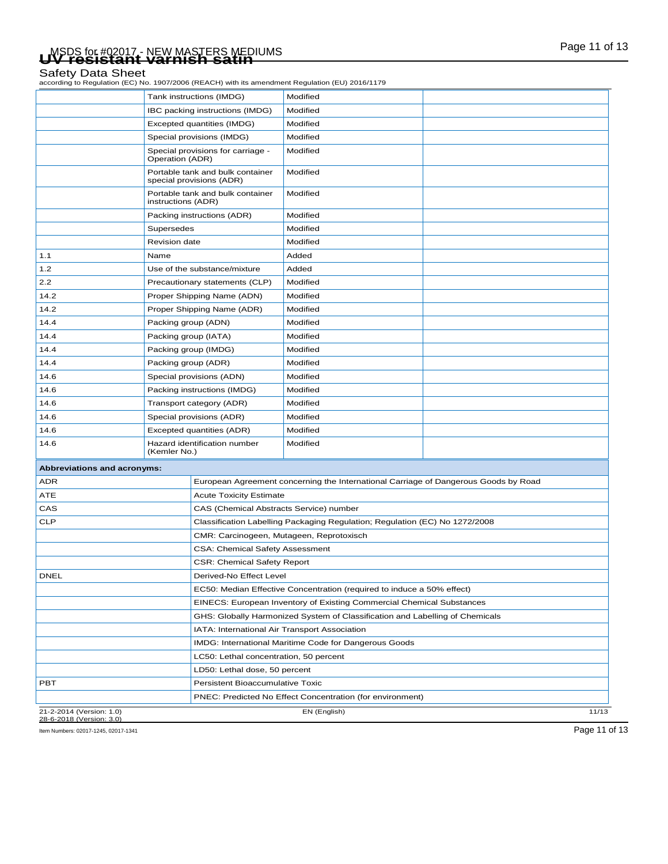# Page 11 of 13 MSDS for #02017 - NEW MASTERS MEDIUMS **UV resistant varnish satin**

### Safety Data Sheet

according to Regulation (EC) No. 1907/2006 (REACH) with its amendment Regulation (EU) 2016/1179

| 21-2-2014 (Version: 1.0)<br>28-6-2018 (Version: 3.0) |                                                                |                                                                              | EN (English)                                                                                    | 11/13 |
|------------------------------------------------------|----------------------------------------------------------------|------------------------------------------------------------------------------|-------------------------------------------------------------------------------------------------|-------|
|                                                      |                                                                |                                                                              | PNEC: Predicted No Effect Concentration (for environment)                                       |       |
| PBT                                                  |                                                                | Persistent Bioaccumulative Toxic                                             |                                                                                                 |       |
|                                                      |                                                                | LD50: Lethal dose, 50 percent                                                |                                                                                                 |       |
|                                                      |                                                                | LC50: Lethal concentration, 50 percent                                       |                                                                                                 |       |
|                                                      |                                                                |                                                                              | IMDG: International Maritime Code for Dangerous Goods                                           |       |
| IATA: International Air Transport Association        |                                                                |                                                                              |                                                                                                 |       |
|                                                      |                                                                | GHS: Globally Harmonized System of Classification and Labelling of Chemicals |                                                                                                 |       |
|                                                      |                                                                | EINECS: European Inventory of Existing Commercial Chemical Substances        |                                                                                                 |       |
|                                                      |                                                                | EC50: Median Effective Concentration (required to induce a 50% effect)       |                                                                                                 |       |
| <b>DNEL</b>                                          |                                                                | Derived-No Effect Level                                                      |                                                                                                 |       |
| <b>CSR: Chemical Safety Report</b>                   |                                                                |                                                                              |                                                                                                 |       |
|                                                      |                                                                | CSA: Chemical Safety Assessment                                              |                                                                                                 |       |
| CMR: Carcinogeen, Mutageen, Reprotoxisch             |                                                                |                                                                              |                                                                                                 |       |
| <b>CLP</b>                                           |                                                                |                                                                              | Classification Labelling Packaging Regulation; Regulation (EC) No 1272/2008                     |       |
| CAS                                                  |                                                                | CAS (Chemical Abstracts Service) number                                      |                                                                                                 |       |
| ATE                                                  |                                                                | <b>Acute Toxicity Estimate</b>                                               |                                                                                                 |       |
| <b>ADR</b>                                           |                                                                |                                                                              | European Agreement concerning the International Carriage of Dangerous Goods by Road             |       |
| Abbreviations and acronyms:                          |                                                                |                                                                              |                                                                                                 |       |
| 14.6                                                 | Hazard identification number<br>(Kemler No.)                   |                                                                              | Modified                                                                                        |       |
| 14.6                                                 | Excepted quantities (ADR)                                      |                                                                              | Modified                                                                                        |       |
| 14.6                                                 |                                                                | Special provisions (ADR)                                                     | Modified                                                                                        |       |
| 14.6                                                 |                                                                | Transport category (ADR)                                                     | Modified                                                                                        |       |
| 14.6                                                 |                                                                | Packing instructions (IMDG)                                                  | Modified                                                                                        |       |
| 14.6                                                 |                                                                | Special provisions (ADN)                                                     | Modified                                                                                        |       |
| 14.4                                                 | Packing group (ADR)                                            |                                                                              | Modified                                                                                        |       |
| 14.4                                                 |                                                                | Packing group (IMDG)                                                         | Modified                                                                                        |       |
| 14.4                                                 | Packing group (IATA)                                           |                                                                              | Modified                                                                                        |       |
| 14.4                                                 | Packing group (ADN)                                            |                                                                              | Modified                                                                                        |       |
| 14.2                                                 |                                                                | Proper Shipping Name (ADR)                                                   | Modified                                                                                        |       |
| 14.2                                                 |                                                                | Proper Shipping Name (ADN)                                                   | Modified                                                                                        |       |
| 2.2                                                  |                                                                | Precautionary statements (CLP)                                               | Modified                                                                                        |       |
| 1.2                                                  |                                                                | Use of the substance/mixture                                                 | Added                                                                                           |       |
| 1.1                                                  | Name                                                           |                                                                              | Added                                                                                           |       |
|                                                      | Supersedes<br><b>Revision date</b>                             |                                                                              | Modified                                                                                        |       |
|                                                      |                                                                | Packing instructions (ADR)                                                   | Modified                                                                                        |       |
|                                                      | instructions (ADR)                                             |                                                                              | Modified                                                                                        |       |
|                                                      |                                                                | special provisions (ADR)<br>Portable tank and bulk container                 | Modified                                                                                        |       |
|                                                      | Operation (ADR)                                                | Portable tank and bulk container                                             | Modified                                                                                        |       |
|                                                      | Special provisions (IMDG)<br>Special provisions for carriage - |                                                                              | Modified<br>Modified                                                                            |       |
|                                                      | Excepted quantities (IMDG)                                     |                                                                              | Modified                                                                                        |       |
|                                                      | IBC packing instructions (IMDG)                                |                                                                              | Modified                                                                                        |       |
|                                                      | Tank instructions (IMDG)                                       |                                                                              | Modified                                                                                        |       |
|                                                      |                                                                |                                                                              | according to Regulation (EC) No. 1907/2006 (REACH) with its amendment Regulation (EU) 2016/1179 |       |

Item Numbers: 02017-1245, 02017-1341 Page 11 of 13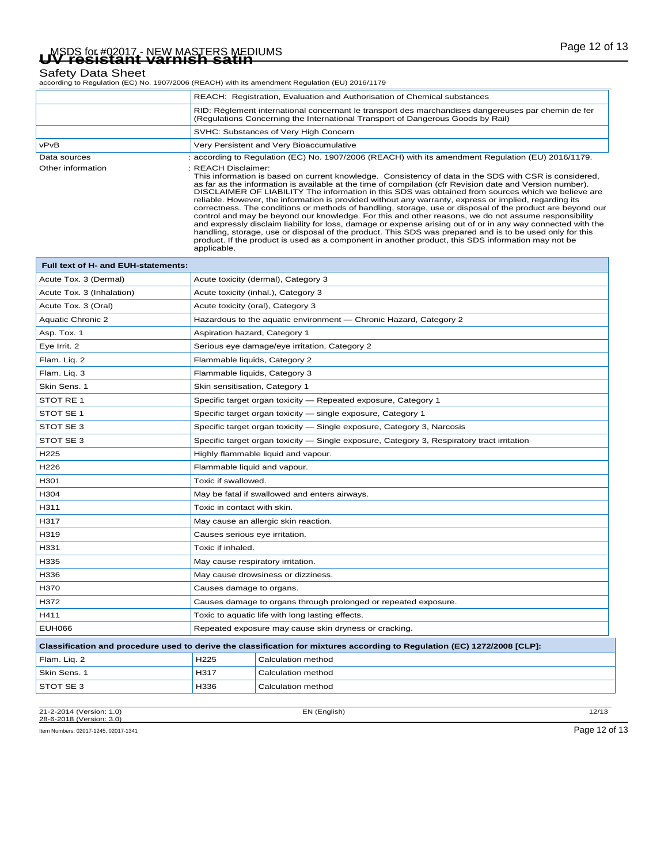# Page 12 of 13 MSDS for #02017 - NEW MASTERS MEDIUMS **UV resistant varnish satin**

Safety Data Sheet<br>according to Regulation (EC) No. 1907/2006 (REACH) with its amendment Regulation (EU) 2016/1179

|                   | REACH: Registration, Evaluation and Authorisation of Chemical substances                                                                                                                                                                                                                                                                                                                                                                                                                                                                                                                                                                                                                                                                                                                                                                                                                                                                                                                                                          |
|-------------------|-----------------------------------------------------------------------------------------------------------------------------------------------------------------------------------------------------------------------------------------------------------------------------------------------------------------------------------------------------------------------------------------------------------------------------------------------------------------------------------------------------------------------------------------------------------------------------------------------------------------------------------------------------------------------------------------------------------------------------------------------------------------------------------------------------------------------------------------------------------------------------------------------------------------------------------------------------------------------------------------------------------------------------------|
|                   | RID: Règlement international concernant le transport des marchandises dangereuses par chemin de fer<br>(Regulations Concerning the International Transport of Dangerous Goods by Rail)                                                                                                                                                                                                                                                                                                                                                                                                                                                                                                                                                                                                                                                                                                                                                                                                                                            |
|                   | SVHC: Substances of Very High Concern                                                                                                                                                                                                                                                                                                                                                                                                                                                                                                                                                                                                                                                                                                                                                                                                                                                                                                                                                                                             |
| <b>vPvB</b>       | Very Persistent and Very Bioaccumulative                                                                                                                                                                                                                                                                                                                                                                                                                                                                                                                                                                                                                                                                                                                                                                                                                                                                                                                                                                                          |
| Data sources      | : according to Regulation (EC) No. 1907/2006 (REACH) with its amendment Regulation (EU) 2016/1179.                                                                                                                                                                                                                                                                                                                                                                                                                                                                                                                                                                                                                                                                                                                                                                                                                                                                                                                                |
| Other information | : REACH Disclaimer:<br>This information is based on current knowledge. Consistency of data in the SDS with CSR is considered,<br>as far as the information is available at the time of compilation (cfr Revision date and Version number).<br>DISCLAIMER OF LIABILITY The information in this SDS was obtained from sources which we believe are<br>reliable. However, the information is provided without any warranty, express or implied, regarding its<br>correctness. The conditions or methods of handling, storage, use or disposal of the product are beyond our<br>control and may be beyond our knowledge. For this and other reasons, we do not assume responsibility<br>and expressly disclaim liability for loss, damage or expense arising out of or in any way connected with the<br>handling, storage, use or disposal of the product. This SDS was prepared and is to be used only for this<br>product. If the product is used as a component in another product, this SDS information may not be<br>applicable. |

| Full text of H- and EUH-statements: |                                                                 |                                                                                                                           |  |
|-------------------------------------|-----------------------------------------------------------------|---------------------------------------------------------------------------------------------------------------------------|--|
| Acute Tox. 3 (Dermal)               |                                                                 | Acute toxicity (dermal), Category 3                                                                                       |  |
| Acute Tox. 3 (Inhalation)           | Acute toxicity (inhal.), Category 3                             |                                                                                                                           |  |
| Acute Tox. 3 (Oral)                 |                                                                 | Acute toxicity (oral), Category 3                                                                                         |  |
| Aquatic Chronic 2                   |                                                                 | Hazardous to the aquatic environment - Chronic Hazard, Category 2                                                         |  |
| Asp. Tox. 1                         | Aspiration hazard, Category 1                                   |                                                                                                                           |  |
| Eye Irrit. 2                        |                                                                 | Serious eye damage/eye irritation, Category 2                                                                             |  |
| Flam. Liq. 2                        | Flammable liquids, Category 2                                   |                                                                                                                           |  |
| Flam. Liq. 3                        | Flammable liquids, Category 3                                   |                                                                                                                           |  |
| Skin Sens. 1                        | Skin sensitisation, Category 1                                  |                                                                                                                           |  |
| STOT RE 1                           |                                                                 | Specific target organ toxicity - Repeated exposure, Category 1                                                            |  |
| STOT SE 1                           |                                                                 | Specific target organ toxicity - single exposure, Category 1                                                              |  |
| STOT SE 3                           |                                                                 | Specific target organ toxicity - Single exposure, Category 3, Narcosis                                                    |  |
| STOT SE 3                           |                                                                 | Specific target organ toxicity - Single exposure, Category 3, Respiratory tract irritation                                |  |
| H <sub>225</sub>                    | Highly flammable liquid and vapour.                             |                                                                                                                           |  |
| H226                                | Flammable liquid and vapour.                                    |                                                                                                                           |  |
| H301                                | Toxic if swallowed.                                             |                                                                                                                           |  |
| H304                                |                                                                 | May be fatal if swallowed and enters airways.                                                                             |  |
| H311                                | Toxic in contact with skin.                                     |                                                                                                                           |  |
| H317                                |                                                                 | May cause an allergic skin reaction.                                                                                      |  |
| H319                                | Causes serious eye irritation.                                  |                                                                                                                           |  |
| H331                                | Toxic if inhaled.                                               |                                                                                                                           |  |
| H335                                | May cause respiratory irritation.                               |                                                                                                                           |  |
| H336                                | May cause drowsiness or dizziness.                              |                                                                                                                           |  |
| H370                                | Causes damage to organs.                                        |                                                                                                                           |  |
| H372                                | Causes damage to organs through prolonged or repeated exposure. |                                                                                                                           |  |
| H411                                | Toxic to aquatic life with long lasting effects.                |                                                                                                                           |  |
| <b>EUH066</b>                       | Repeated exposure may cause skin dryness or cracking.           |                                                                                                                           |  |
|                                     |                                                                 | Classification and procedure used to derive the classification for mixtures according to Regulation (EC) 1272/2008 [CLP]: |  |
| Flam. Lig. 2                        | H225                                                            | Calculation method                                                                                                        |  |
| Skin Sens. 1                        | H317                                                            | Calculation method                                                                                                        |  |
| STOT SE 3                           | H336                                                            | Calculation method                                                                                                        |  |
|                                     |                                                                 |                                                                                                                           |  |

21-2-2014 (Version: 1.0) EN (English) 12/13 28-6-2018 (Version: 3.0)

Item Numbers: 02017-1245, 02017-1341 Page 12 of 13